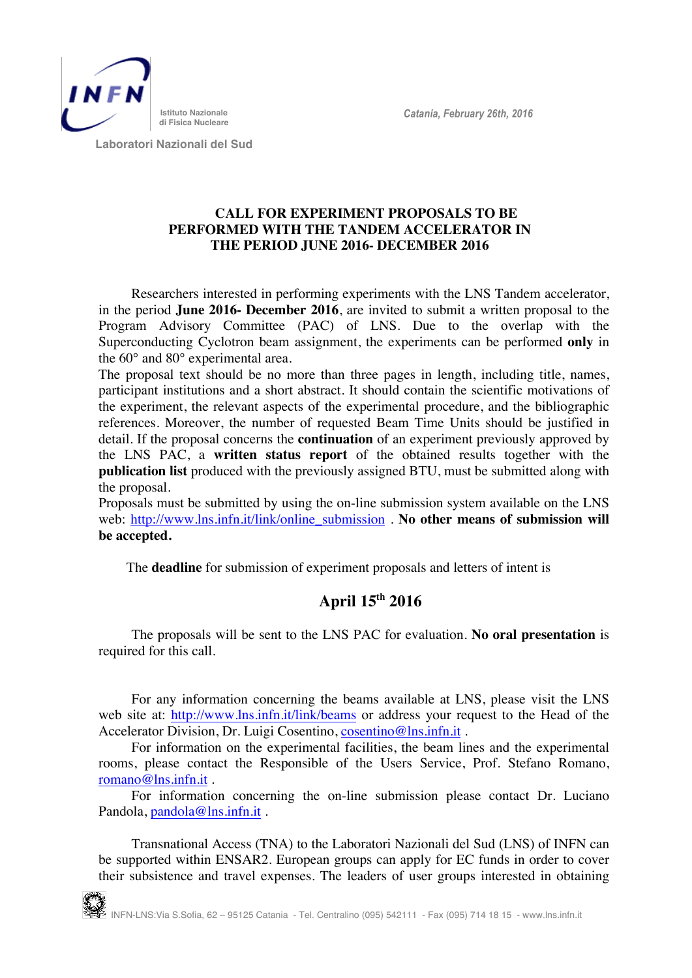

 **Laboratori Nazionali del Sud**

## **CALL FOR EXPERIMENT PROPOSALS TO BE PERFORMED WITH THE TANDEM ACCELERATOR IN THE PERIOD JUNE 2016- DECEMBER 2016**

Researchers interested in performing experiments with the LNS Tandem accelerator, in the period **June 2016- December 2016**, are invited to submit a written proposal to the Program Advisory Committee (PAC) of LNS. Due to the overlap with the Superconducting Cyclotron beam assignment, the experiments can be performed **only** in the 60° and 80° experimental area.

The proposal text should be no more than three pages in length, including title, names, participant institutions and a short abstract. It should contain the scientific motivations of the experiment, the relevant aspects of the experimental procedure, and the bibliographic references. Moreover, the number of requested Beam Time Units should be justified in detail. If the proposal concerns the **continuation** of an experiment previously approved by the LNS PAC, a **written status report** of the obtained results together with the **publication list** produced with the previously assigned BTU, must be submitted along with the proposal.

Proposals must be submitted by using the on-line submission system available on the LNS web: http://www.lns.infn.it/link/online\_submission . **No other means of submission will be accepted.** 

The **deadline** for submission of experiment proposals and letters of intent is

## **April 15th 2016**

The proposals will be sent to the LNS PAC for evaluation. **No oral presentation** is required for this call.

For any information concerning the beams available at LNS, please visit the LNS web site at: http://www.lns.infn.it/link/beams or address your request to the Head of the Accelerator Division, Dr. Luigi Cosentino, cosentino@lns.infn.it.

For information on the experimental facilities, the beam lines and the experimental rooms, please contact the Responsible of the Users Service, Prof. Stefano Romano, romano@lns.infn.it .

For information concerning the on-line submission please contact Dr. Luciano Pandola, pandola@lns.infn.it .

Transnational Access (TNA) to the Laboratori Nazionali del Sud (LNS) of INFN can be supported within ENSAR2. European groups can apply for EC funds in order to cover their subsistence and travel expenses. The leaders of user groups interested in obtaining